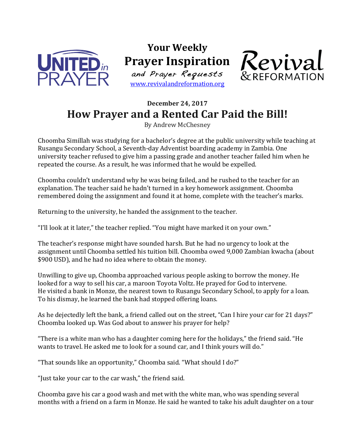

**Your Weekly Prayer Inspiration** and Prayer Requests

www.revivalandreformation.org



## **December 24, 2017** How Prayer and a Rented Car Paid the Bill!

By Andrew McChesney

Choomba Simillah was studying for a bachelor's degree at the public university while teaching at Rusangu Secondary School, a Seventh-day Adventist boarding academy in Zambia. One university teacher refused to give him a passing grade and another teacher failed him when he repeated the course. As a result, he was informed that he would be expelled.

Choomba couldn't understand why he was being failed, and he rushed to the teacher for an explanation. The teacher said he hadn't turned in a key homework assignment. Choomba remembered doing the assignment and found it at home, complete with the teacher's marks.

Returning to the university, he handed the assignment to the teacher.

"I'll look at it later," the teacher replied. "You might have marked it on your own."

The teacher's response might have sounded harsh. But he had no urgency to look at the assignment until Choomba settled his tuition bill. Choomba owed 9,000 Zambian kwacha (about \$900 USD), and he had no idea where to obtain the money.

Unwilling to give up, Choomba approached various people asking to borrow the money. He looked for a way to sell his car, a maroon Toyota Voltz. He prayed for God to intervene. He visited a bank in Monze, the nearest town to Rusangu Secondary School, to apply for a loan. To his dismay, he learned the bank had stopped offering loans.

As he dejectedly left the bank, a friend called out on the street, "Can I hire your car for 21 days?" Choomba looked up. Was God about to answer his prayer for help?

"There is a white man who has a daughter coming here for the holidays," the friend said. "He wants to travel. He asked me to look for a sound car, and I think yours will do."

"That sounds like an opportunity," Choomba said. "What should I do?"

"Just take your car to the car wash," the friend said.

Choomba gave his car a good wash and met with the white man, who was spending several months with a friend on a farm in Monze. He said he wanted to take his adult daughter on a tour